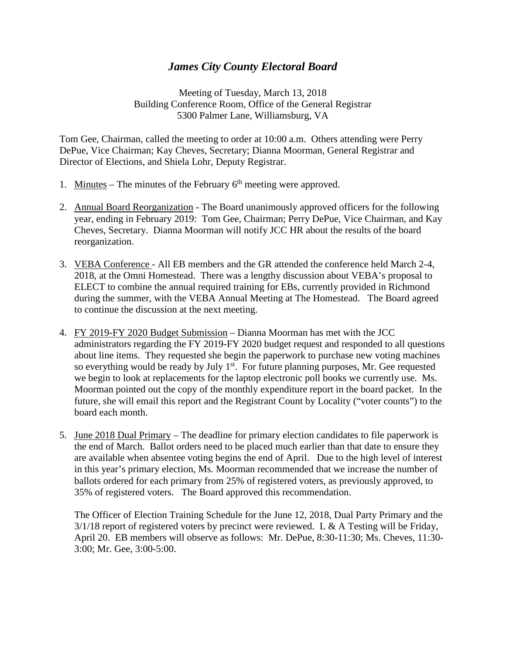## *James City County Electoral Board*

Meeting of Tuesday, March 13, 2018 Building Conference Room, Office of the General Registrar 5300 Palmer Lane, Williamsburg, VA

Tom Gee, Chairman, called the meeting to order at 10:00 a.m. Others attending were Perry DePue, Vice Chairman; Kay Cheves, Secretary; Dianna Moorman, General Registrar and Director of Elections, and Shiela Lohr, Deputy Registrar.

- 1. Minutes The minutes of the February  $6<sup>th</sup>$  meeting were approved.
- 2. Annual Board Reorganization The Board unanimously approved officers for the following year, ending in February 2019: Tom Gee, Chairman; Perry DePue, Vice Chairman, and Kay Cheves, Secretary. Dianna Moorman will notify JCC HR about the results of the board reorganization.
- 3. VEBA Conference All EB members and the GR attended the conference held March 2-4, 2018, at the Omni Homestead. There was a lengthy discussion about VEBA's proposal to ELECT to combine the annual required training for EBs, currently provided in Richmond during the summer, with the VEBA Annual Meeting at The Homestead. The Board agreed to continue the discussion at the next meeting.
- 4. FY 2019-FY 2020 Budget Submission Dianna Moorman has met with the JCC administrators regarding the FY 2019-FY 2020 budget request and responded to all questions about line items. They requested she begin the paperwork to purchase new voting machines so everything would be ready by July  $1<sup>st</sup>$ . For future planning purposes, Mr. Gee requested we begin to look at replacements for the laptop electronic poll books we currently use. Ms. Moorman pointed out the copy of the monthly expenditure report in the board packet. In the future, she will email this report and the Registrant Count by Locality ("voter counts") to the board each month.
- 5. June 2018 Dual Primary The deadline for primary election candidates to file paperwork is the end of March. Ballot orders need to be placed much earlier than that date to ensure they are available when absentee voting begins the end of April. Due to the high level of interest in this year's primary election, Ms. Moorman recommended that we increase the number of ballots ordered for each primary from 25% of registered voters, as previously approved, to 35% of registered voters. The Board approved this recommendation.

The Officer of Election Training Schedule for the June 12, 2018, Dual Party Primary and the  $3/1/18$  report of registered voters by precinct were reviewed. L & A Testing will be Friday, April 20. EB members will observe as follows: Mr. DePue, 8:30-11:30; Ms. Cheves, 11:30- 3:00; Mr. Gee, 3:00-5:00.